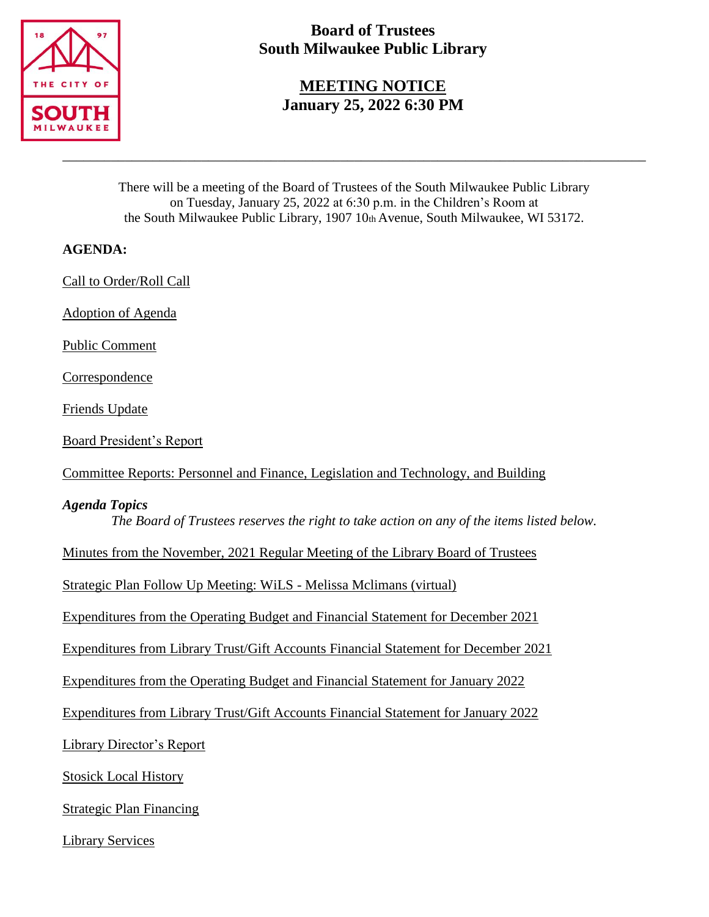

# **Board of Trustees South Milwaukee Public Library**

## **MEETING NOTICE January 25, 2022 6:30 PM**

There will be a meeting of the Board of Trustees of the South Milwaukee Public Library on Tuesday, January 25, 2022 at 6:30 p.m. in the Children's Room at the South Milwaukee Public Library, 1907 10th Avenue, South Milwaukee, WI 53172.

\_\_\_\_\_\_\_\_\_\_\_\_\_\_\_\_\_\_\_\_\_\_\_\_\_\_\_\_\_\_\_\_\_\_\_\_\_\_\_\_\_\_\_\_\_\_\_\_\_\_\_\_\_\_\_\_\_\_\_\_\_\_\_\_\_\_\_\_\_\_\_\_\_\_\_\_\_\_\_\_\_\_\_\_

### **AGENDA:**

Call to Order/Roll Call

Adoption of Agenda

Public Comment

Correspondence

Friends Update

Board President's Report

Committee Reports: Personnel and Finance, Legislation and Technology, and Building

### *Agenda Topics*

*The Board of Trustees reserves the right to take action on any of the items listed below.*

Minutes from the November, 2021 Regular Meeting of the Library Board of Trustees

Strategic Plan Follow Up Meeting: WiLS - Melissa Mclimans (virtual)

Expenditures from the Operating Budget and Financial Statement for December 2021

Expenditures from Library Trust/Gift Accounts Financial Statement for December 2021

Expenditures from the Operating Budget and Financial Statement for January 2022

Expenditures from Library Trust/Gift Accounts Financial Statement for January 2022

Library Director's Report

Stosick Local History

Strategic Plan Financing

Library Services